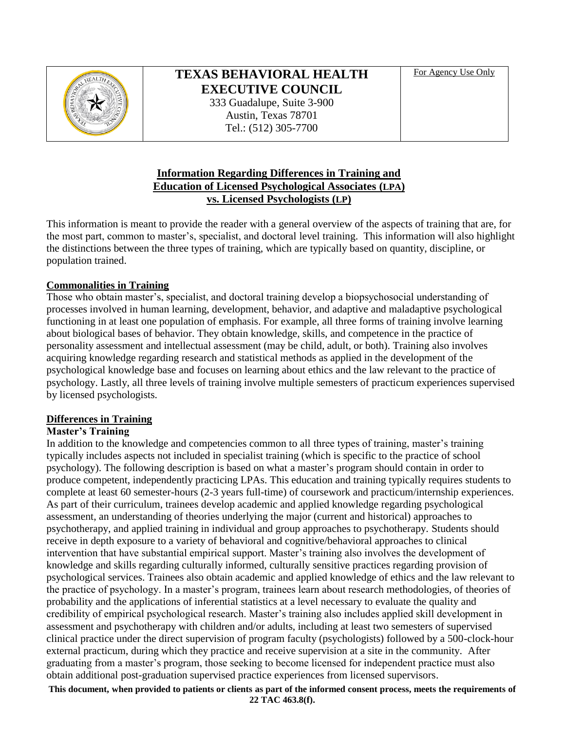

# **TEXAS BEHAVIORAL HEALTH EXECUTIVE COUNCIL**

333 Guadalupe, Suite 3-900 Austin, Texas 78701 Tel.: (512) 305-7700

For Agency Use Only

## **Information Regarding Differences in Training and Education of Licensed Psychological Associates (LPA) vs. Licensed Psychologists (LP)**

This information is meant to provide the reader with a general overview of the aspects of training that are, for the most part, common to master's, specialist, and doctoral level training. This information will also highlight the distinctions between the three types of training, which are typically based on quantity, discipline, or population trained.

## **Commonalities in Training**

Those who obtain master's, specialist, and doctoral training develop a biopsychosocial understanding of processes involved in human learning, development, behavior, and adaptive and maladaptive psychological functioning in at least one population of emphasis. For example, all three forms of training involve learning about biological bases of behavior. They obtain knowledge, skills, and competence in the practice of personality assessment and intellectual assessment (may be child, adult, or both). Training also involves acquiring knowledge regarding research and statistical methods as applied in the development of the psychological knowledge base and focuses on learning about ethics and the law relevant to the practice of psychology. Lastly, all three levels of training involve multiple semesters of practicum experiences supervised by licensed psychologists.

## **Differences in Training**

## **Master's Training**

In addition to the knowledge and competencies common to all three types of training, master's training typically includes aspects not included in specialist training (which is specific to the practice of school psychology). The following description is based on what a master's program should contain in order to produce competent, independently practicing LPAs. This education and training typically requires students to complete at least 60 semester-hours (2-3 years full-time) of coursework and practicum/internship experiences. As part of their curriculum, trainees develop academic and applied knowledge regarding psychological assessment, an understanding of theories underlying the major (current and historical) approaches to psychotherapy, and applied training in individual and group approaches to psychotherapy. Students should receive in depth exposure to a variety of behavioral and cognitive/behavioral approaches to clinical intervention that have substantial empirical support. Master's training also involves the development of knowledge and skills regarding culturally informed, culturally sensitive practices regarding provision of psychological services. Trainees also obtain academic and applied knowledge of ethics and the law relevant to the practice of psychology. In a master's program, trainees learn about research methodologies, of theories of probability and the applications of inferential statistics at a level necessary to evaluate the quality and credibility of empirical psychological research. Master's training also includes applied skill development in assessment and psychotherapy with children and/or adults, including at least two semesters of supervised clinical practice under the direct supervision of program faculty (psychologists) followed by a 500-clock-hour external practicum, during which they practice and receive supervision at a site in the community. After graduating from a master's program, those seeking to become licensed for independent practice must also obtain additional post-graduation supervised practice experiences from licensed supervisors.

**This document, when provided to patients or clients as part of the informed consent process, meets the requirements of 22 TAC 463.8(f).**